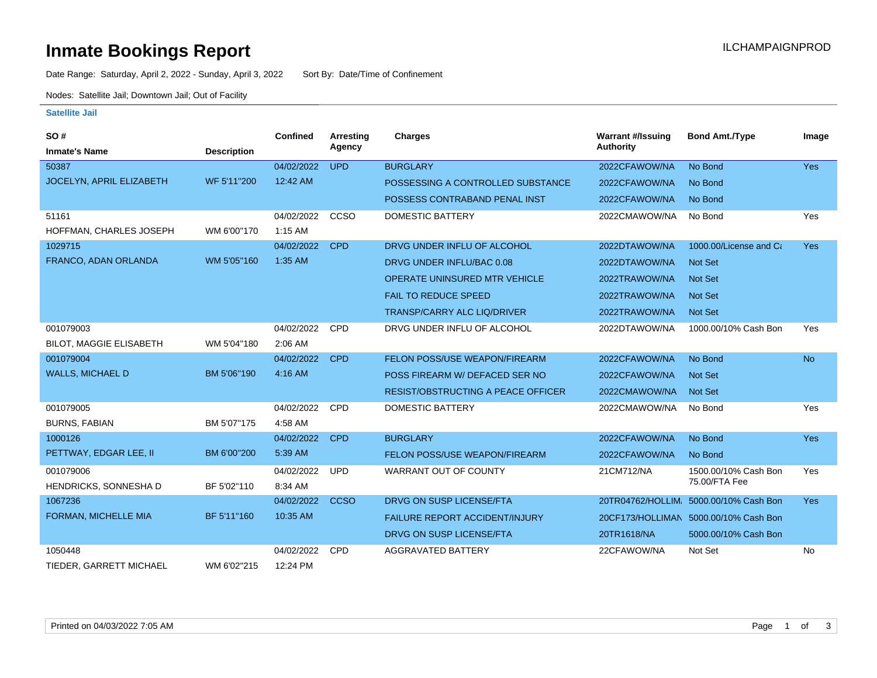# **Inmate Bookings Report Installation ILCHAMPAIGNPROD**

Date Range: Saturday, April 2, 2022 - Sunday, April 3, 2022 Sort By: Date/Time of Confinement

Nodes: Satellite Jail; Downtown Jail; Out of Facility

## **Satellite Jail**

| SO#                            |                    | Confined   | <b>Arresting</b> | <b>Charges</b>                            | <b>Warrant #/Issuing</b> | <b>Bond Amt./Type</b>                 | Image      |
|--------------------------------|--------------------|------------|------------------|-------------------------------------------|--------------------------|---------------------------------------|------------|
| <b>Inmate's Name</b>           | <b>Description</b> |            | Agency           |                                           | <b>Authority</b>         |                                       |            |
| 50387                          |                    | 04/02/2022 | <b>UPD</b>       | <b>BURGLARY</b>                           | 2022CFAWOW/NA            | No Bond                               | <b>Yes</b> |
| JOCELYN, APRIL ELIZABETH       | WF 5'11"200        | 12:42 AM   |                  | POSSESSING A CONTROLLED SUBSTANCE         | 2022CFAWOW/NA            | No Bond                               |            |
|                                |                    |            |                  | POSSESS CONTRABAND PENAL INST             | 2022CFAWOW/NA            | No Bond                               |            |
| 51161                          |                    | 04/02/2022 | CCSO             | <b>DOMESTIC BATTERY</b>                   | 2022CMAWOW/NA            | No Bond                               | Yes        |
| HOFFMAN, CHARLES JOSEPH        | WM 6'00"170        | $1:15$ AM  |                  |                                           |                          |                                       |            |
| 1029715                        |                    | 04/02/2022 | <b>CPD</b>       | DRVG UNDER INFLU OF ALCOHOL               | 2022DTAWOW/NA            | 1000.00/License and Ca                | <b>Yes</b> |
| FRANCO, ADAN ORLANDA           | WM 5'05"160        | 1:35 AM    |                  | DRVG UNDER INFLU/BAC 0.08                 | 2022DTAWOW/NA            | <b>Not Set</b>                        |            |
|                                |                    |            |                  | <b>OPERATE UNINSURED MTR VEHICLE</b>      | 2022TRAWOW/NA            | Not Set                               |            |
|                                |                    |            |                  | <b>FAIL TO REDUCE SPEED</b>               | 2022TRAWOW/NA            | Not Set                               |            |
|                                |                    |            |                  | <b>TRANSP/CARRY ALC LIQ/DRIVER</b>        | 2022TRAWOW/NA            | Not Set                               |            |
| 001079003                      |                    | 04/02/2022 | CPD              | DRVG UNDER INFLU OF ALCOHOL               | 2022DTAWOW/NA            | 1000.00/10% Cash Bon                  | Yes        |
| <b>BILOT, MAGGIE ELISABETH</b> | WM 5'04"180        | 2:06 AM    |                  |                                           |                          |                                       |            |
| 001079004                      |                    | 04/02/2022 | <b>CPD</b>       | FELON POSS/USE WEAPON/FIREARM             | 2022CFAWOW/NA            | No Bond                               | <b>No</b>  |
| <b>WALLS, MICHAEL D</b>        | BM 5'06"190        | 4:16 AM    |                  | POSS FIREARM W/ DEFACED SER NO            | 2022CFAWOW/NA            | Not Set                               |            |
|                                |                    |            |                  | <b>RESIST/OBSTRUCTING A PEACE OFFICER</b> | 2022CMAWOW/NA            | Not Set                               |            |
| 001079005                      |                    | 04/02/2022 | <b>CPD</b>       | <b>DOMESTIC BATTERY</b>                   | 2022CMAWOW/NA            | No Bond                               | Yes        |
| <b>BURNS, FABIAN</b>           | BM 5'07"175        | 4:58 AM    |                  |                                           |                          |                                       |            |
| 1000126                        |                    | 04/02/2022 | <b>CPD</b>       | <b>BURGLARY</b>                           | 2022CFAWOW/NA            | No Bond                               | Yes        |
| PETTWAY, EDGAR LEE, II         | BM 6'00"200        | 5:39 AM    |                  | <b>FELON POSS/USE WEAPON/FIREARM</b>      | 2022CFAWOW/NA            | No Bond                               |            |
| 001079006                      |                    | 04/02/2022 | <b>UPD</b>       | WARRANT OUT OF COUNTY                     | 21CM712/NA               | 1500.00/10% Cash Bon                  | Yes        |
| HENDRICKS, SONNESHA D          | BF 5'02"110        | 8:34 AM    |                  |                                           |                          | 75.00/FTA Fee                         |            |
| 1067236                        |                    | 04/02/2022 | <b>CCSO</b>      | DRVG ON SUSP LICENSE/FTA                  |                          | 20TR04762/HOLLIM 5000.00/10% Cash Bon | <b>Yes</b> |
| FORMAN, MICHELLE MIA           | BF 5'11"160        | 10:35 AM   |                  | <b>FAILURE REPORT ACCIDENT/INJURY</b>     |                          | 20CF173/HOLLIMAN 5000.00/10% Cash Bon |            |
|                                |                    |            |                  | DRVG ON SUSP LICENSE/FTA                  | 20TR1618/NA              | 5000.00/10% Cash Bon                  |            |
| 1050448                        |                    | 04/02/2022 | <b>CPD</b>       | <b>AGGRAVATED BATTERY</b>                 | 22CFAWOW/NA              | Not Set                               | No         |
| TIEDER, GARRETT MICHAEL        | WM 6'02"215        | 12:24 PM   |                  |                                           |                          |                                       |            |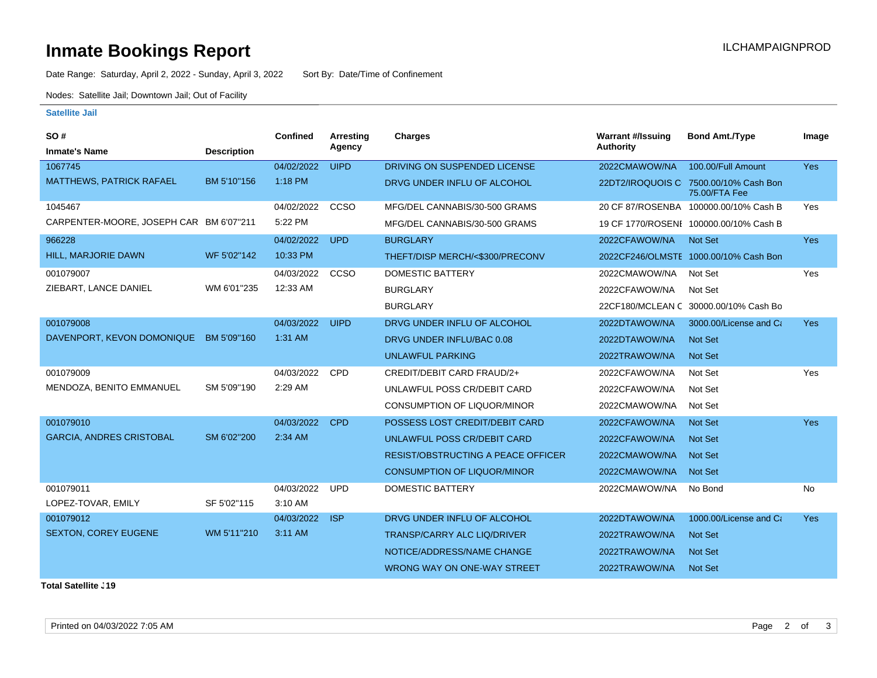# **Inmate Bookings Report Inmate Bookings Report**

Date Range: Saturday, April 2, 2022 - Sunday, April 3, 2022 Sort By: Date/Time of Confinement

Nodes: Satellite Jail; Downtown Jail; Out of Facility

### **Satellite Jail**

| SO#                                     |                    | Confined   | Arresting   | <b>Charges</b>                            | <b>Warrant #/Issuing</b> | <b>Bond Amt./Type</b>                                  | Image      |
|-----------------------------------------|--------------------|------------|-------------|-------------------------------------------|--------------------------|--------------------------------------------------------|------------|
| <b>Inmate's Name</b>                    | <b>Description</b> |            | Agency      |                                           | <b>Authority</b>         |                                                        |            |
| 1067745                                 |                    | 04/02/2022 | <b>UIPD</b> | DRIVING ON SUSPENDED LICENSE              | 2022CMAWOW/NA            | 100.00/Full Amount                                     | <b>Yes</b> |
| <b>MATTHEWS, PATRICK RAFAEL</b>         | BM 5'10"156        | 1:18 PM    |             | DRVG UNDER INFLU OF ALCOHOL               |                          | 22DT2/IROQUOIS C 7500.00/10% Cash Bon<br>75.00/FTA Fee |            |
| 1045467                                 |                    | 04/02/2022 | CCSO        | MFG/DEL CANNABIS/30-500 GRAMS             |                          | 20 CF 87/ROSENBA 100000.00/10% Cash B                  | Yes        |
| CARPENTER-MOORE, JOSEPH CAR BM 6'07"211 |                    | 5:22 PM    |             | MFG/DEL CANNABIS/30-500 GRAMS             |                          | 19 CF 1770/ROSENI 100000.00/10% Cash B                 |            |
| 966228                                  |                    | 04/02/2022 | <b>UPD</b>  | <b>BURGLARY</b>                           | 2022CFAWOW/NA            | Not Set                                                | <b>Yes</b> |
| HILL, MARJORIE DAWN                     | WF 5'02"142        | 10:33 PM   |             | THEFT/DISP MERCH/<\$300/PRECONV           |                          | 2022CF246/OLMSTE 1000.00/10% Cash Bon                  |            |
| 001079007                               |                    | 04/03/2022 | CCSO        | <b>DOMESTIC BATTERY</b>                   | 2022CMAWOW/NA            | Not Set                                                | Yes        |
| ZIEBART, LANCE DANIEL                   | WM 6'01"235        | 12:33 AM   |             | <b>BURGLARY</b>                           | 2022CFAWOW/NA            | Not Set                                                |            |
|                                         |                    |            |             | <b>BURGLARY</b>                           |                          | 22CF180/MCLEAN C 30000.00/10% Cash Bo                  |            |
| 001079008                               |                    | 04/03/2022 | <b>UIPD</b> | DRVG UNDER INFLU OF ALCOHOL               | 2022DTAWOW/NA            | 3000.00/License and Ca                                 | <b>Yes</b> |
| DAVENPORT, KEVON DOMONIQUE BM 5'09"160  |                    | $1:31$ AM  |             | DRVG UNDER INFLU/BAC 0.08                 | 2022DTAWOW/NA            | <b>Not Set</b>                                         |            |
|                                         |                    |            |             | <b>UNLAWFUL PARKING</b>                   | 2022TRAWOW/NA            | <b>Not Set</b>                                         |            |
| 001079009                               |                    | 04/03/2022 | <b>CPD</b>  | CREDIT/DEBIT CARD FRAUD/2+                | 2022CFAWOW/NA            | Not Set                                                | Yes        |
| MENDOZA, BENITO EMMANUEL                | SM 5'09"190        | 2:29 AM    |             | UNLAWFUL POSS CR/DEBIT CARD               | 2022CFAWOW/NA            | Not Set                                                |            |
|                                         |                    |            |             | <b>CONSUMPTION OF LIQUOR/MINOR</b>        | 2022CMAWOW/NA            | Not Set                                                |            |
| 001079010                               |                    | 04/03/2022 | <b>CPD</b>  | POSSESS LOST CREDIT/DEBIT CARD            | 2022CFAWOW/NA            | <b>Not Set</b>                                         | Yes        |
| <b>GARCIA, ANDRES CRISTOBAL</b>         | SM 6'02"200        | 2:34 AM    |             | UNLAWFUL POSS CR/DEBIT CARD               | 2022CFAWOW/NA            | <b>Not Set</b>                                         |            |
|                                         |                    |            |             | <b>RESIST/OBSTRUCTING A PEACE OFFICER</b> | 2022CMAWOW/NA            | <b>Not Set</b>                                         |            |
|                                         |                    |            |             | <b>CONSUMPTION OF LIQUOR/MINOR</b>        | 2022CMAWOW/NA            | <b>Not Set</b>                                         |            |
| 001079011                               |                    | 04/03/2022 | <b>UPD</b>  | <b>DOMESTIC BATTERY</b>                   | 2022CMAWOW/NA            | No Bond                                                | No         |
| LOPEZ-TOVAR, EMILY                      | SF 5'02"115        | 3:10 AM    |             |                                           |                          |                                                        |            |
| 001079012                               |                    | 04/03/2022 | <b>ISP</b>  | DRVG UNDER INFLU OF ALCOHOL               | 2022DTAWOW/NA            | 1000.00/License and Ca                                 | <b>Yes</b> |
| <b>SEXTON, COREY EUGENE</b>             | WM 5'11"210        | 3:11 AM    |             | <b>TRANSP/CARRY ALC LIQ/DRIVER</b>        | 2022TRAWOW/NA            | <b>Not Set</b>                                         |            |
|                                         |                    |            |             | NOTICE/ADDRESS/NAME CHANGE                | 2022TRAWOW/NA            | <b>Not Set</b>                                         |            |
|                                         |                    |            |             | WRONG WAY ON ONE-WAY STREET               | 2022TRAWOW/NA            | <b>Not Set</b>                                         |            |
|                                         |                    |            |             |                                           |                          |                                                        |            |

**Total Satellite . 19**